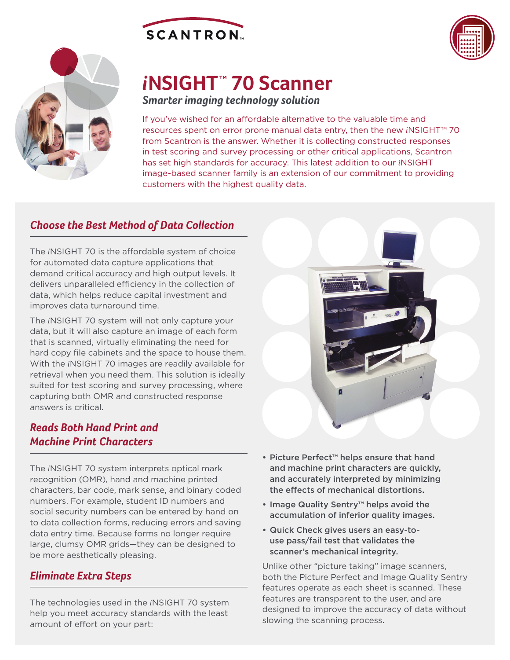





# *i***NSIGHT TM 70 Scanner**

*Smarter imaging technology solution*

If you've wished for an affordable alternative to the valuable time and resources spent on error prone manual data entry, then the new *i*NSIGHT™ 70 from Scantron is the answer. Whether it is collecting constructed responses in test scoring and survey processing or other critical applications, Scantron has set high standards for accuracy. This latest addition to our *i*NSIGHT image-based scanner family is an extension of our commitment to providing customers with the highest quality data.

## *Choose the Best Method of Data Collection*

The *i*NSIGHT 70 is the affordable system of choice for automated data capture applications that demand critical accuracy and high output levels. It delivers unparalleled efficiency in the collection of data, which helps reduce capital investment and improves data turnaround time.

The *i*NSIGHT 70 system will not only capture your data, but it will also capture an image of each form that is scanned, virtually eliminating the need for hard copy file cabinets and the space to house them. With the *i*NSIGHT 70 images are readily available for retrieval when you need them. This solution is ideally suited for test scoring and survey processing, where capturing both OMR and constructed response answers is critical.

## *Reads Both Hand Print and Machine Print Characters*

The *i*NSIGHT 70 system interprets optical mark recognition (OMR), hand and machine printed characters, bar code, mark sense, and binary coded numbers. For example, student ID numbers and social security numbers can be entered by hand on to data collection forms, reducing errors and saving data entry time. Because forms no longer require large, clumsy OMR grids—they can be designed to be more aesthetically pleasing.

## *Eliminate Extra Steps*

The technologies used in the *i*NSIGHT 70 system help you meet accuracy standards with the least amount of effort on your part:



- Picture Perfect™ helps ensure that hand and machine print characters are quickly, and accurately interpreted by minimizing the effects of mechanical distortions.
- Image Quality Sentry™ helps avoid the accumulation of inferior quality images.
- Quick Check gives users an easy-touse pass/fail test that validates the scanner's mechanical integrity.

Unlike other "picture taking" image scanners, both the Picture Perfect and Image Quality Sentry features operate as each sheet is scanned. These features are transparent to the user, and are designed to improve the accuracy of data without slowing the scanning process.